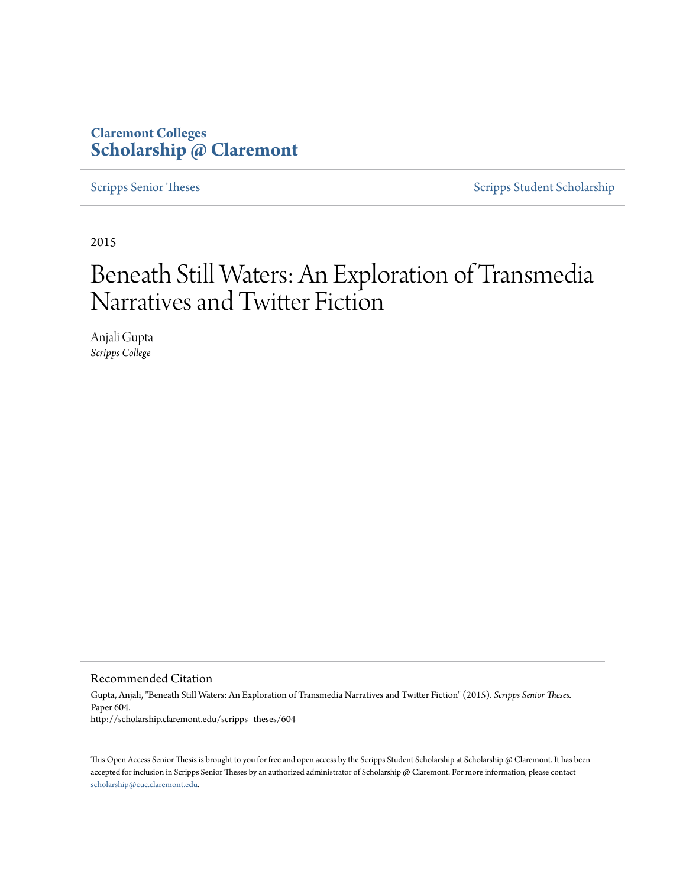# **Claremont Colleges [Scholarship @ Claremont](http://scholarship.claremont.edu)**

[Scripps Senior Theses](http://scholarship.claremont.edu/scripps_theses) [Scripps Student Scholarship](http://scholarship.claremont.edu/scripps_student)

2015

# Beneath Still Waters: An Exploration of Transmedia Narratives and Twitter Fiction

Anjali Gupta *Scripps College*

Recommended Citation

Gupta, Anjali, "Beneath Still Waters: An Exploration of Transmedia Narratives and Twitter Fiction" (2015). *Scripps Senior Theses.* Paper 604. http://scholarship.claremont.edu/scripps\_theses/604

This Open Access Senior Thesis is brought to you for free and open access by the Scripps Student Scholarship at Scholarship @ Claremont. It has been accepted for inclusion in Scripps Senior Theses by an authorized administrator of Scholarship @ Claremont. For more information, please contact [scholarship@cuc.claremont.edu.](mailto:scholarship@cuc.claremont.edu)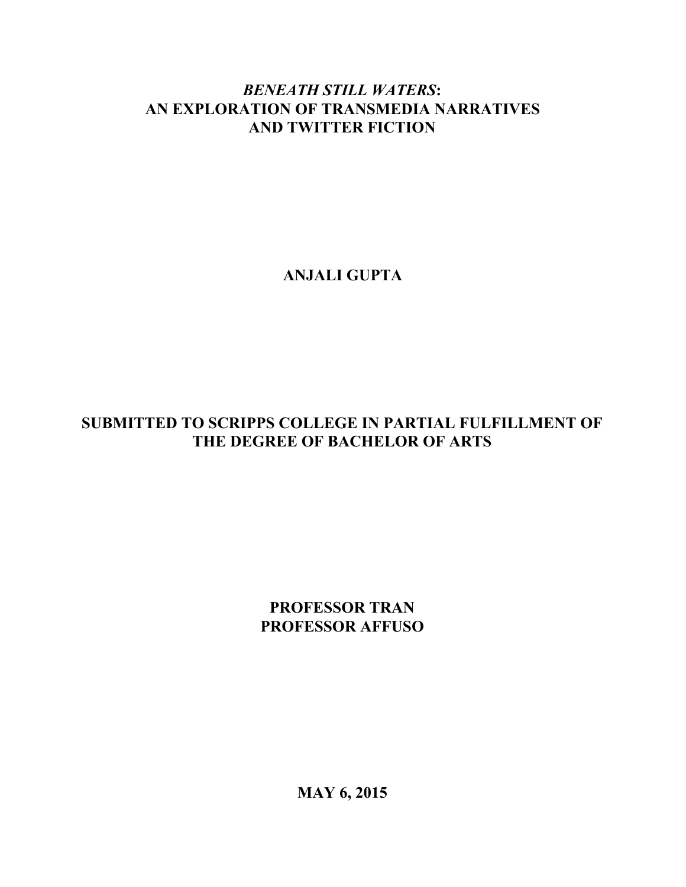# *BENEATH STILL WATERS***: AN EXPLORATION OF TRANSMEDIA NARRATIVES AND TWITTER FICTION**

**ANJALI GUPTA**

# **SUBMITTED TO SCRIPPS COLLEGE IN PARTIAL FULFILLMENT OF THE DEGREE OF BACHELOR OF ARTS**

**PROFESSOR TRAN PROFESSOR AFFUSO**

**MAY 6, 2015**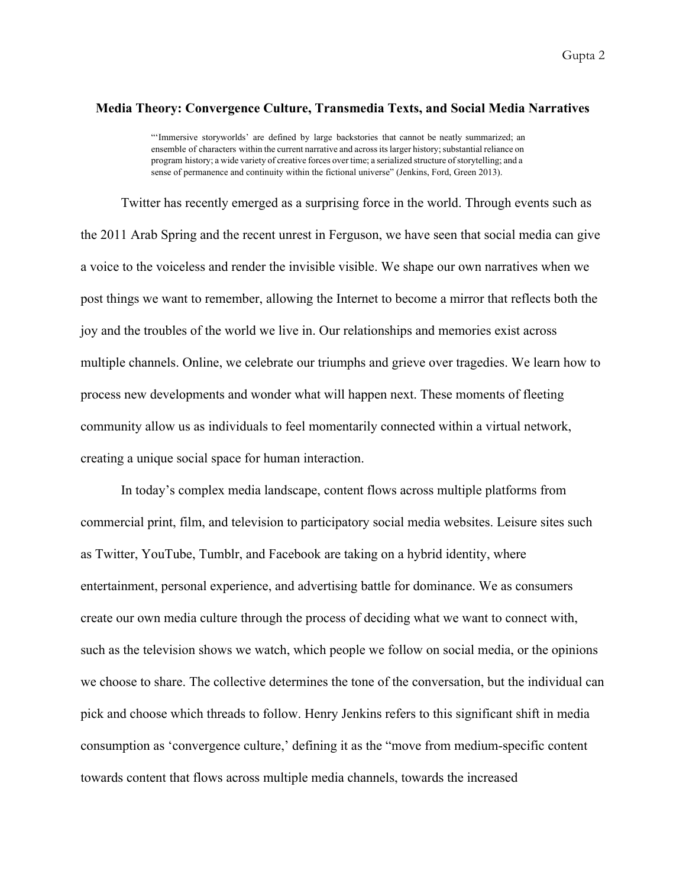## **Media Theory: Convergence Culture, Transmedia Texts, and Social Media Narratives**

"'Immersive storyworlds' are defined by large backstories that cannot be neatly summarized; an ensemble of characters within the current narrative and across its larger history; substantial reliance on program history; a wide variety of creative forces over time; a serialized structure of storytelling; and a sense of permanence and continuity within the fictional universe" (Jenkins, Ford, Green 2013).

Twitter has recently emerged as a surprising force in the world. Through events such as the 2011 Arab Spring and the recent unrest in Ferguson, we have seen that social media can give a voice to the voiceless and render the invisible visible. We shape our own narratives when we post things we want to remember, allowing the Internet to become a mirror that reflects both the joy and the troubles of the world we live in. Our relationships and memories exist across multiple channels. Online, we celebrate our triumphs and grieve over tragedies. We learn how to process new developments and wonder what will happen next. These moments of fleeting community allow us as individuals to feel momentarily connected within a virtual network, creating a unique social space for human interaction.

In today's complex media landscape, content flows across multiple platforms from commercial print, film, and television to participatory social media websites. Leisure sites such as Twitter, YouTube, Tumblr, and Facebook are taking on a hybrid identity, where entertainment, personal experience, and advertising battle for dominance. We as consumers create our own media culture through the process of deciding what we want to connect with, such as the television shows we watch, which people we follow on social media, or the opinions we choose to share. The collective determines the tone of the conversation, but the individual can pick and choose which threads to follow. Henry Jenkins refers to this significant shift in media consumption as 'convergence culture,' defining it as the "move from mediumspecific content towards content that flows across multiple media channels, towards the increased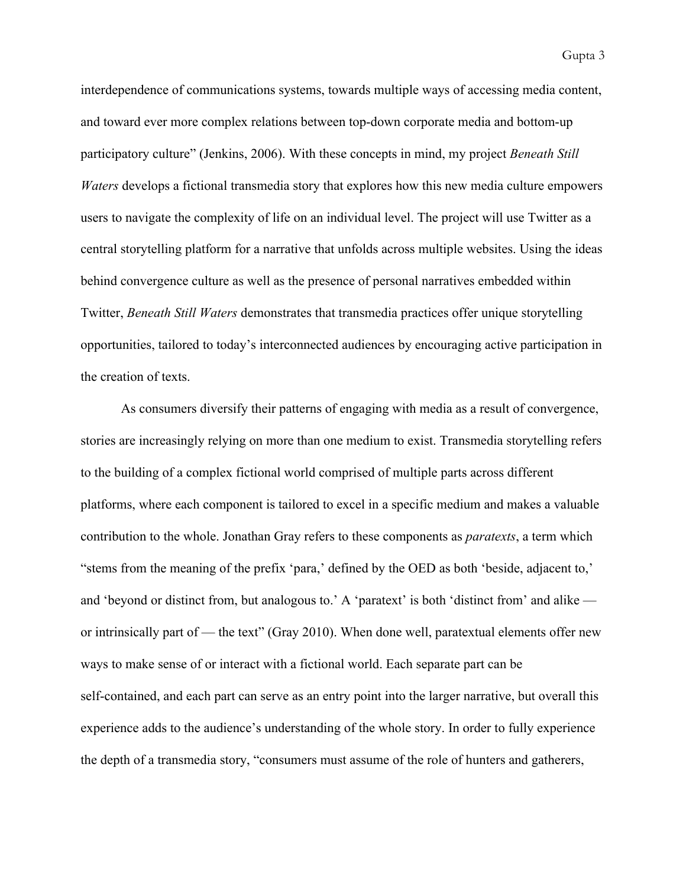interdependence of communications systems, towards multiple ways of accessing media content, and toward ever more complex relations between top-down corporate media and bottom-up participatory culture" (Jenkins, 2006). With these concepts in mind, my project *Beneath Still Waters* develops a fictional transmedia story that explores how this new media culture empowers users to navigate the complexity of life on an individual level. The project will use Twitter as a central storytelling platform for a narrative that unfolds across multiple websites. Using the ideas behind convergence culture as well as the presence of personal narratives embedded within Twitter, *Beneath Still Waters* demonstrates that transmedia practices offer unique storytelling opportunities, tailored to today's interconnected audiences by encouraging active participation in the creation of texts.

As consumers diversify their patterns of engaging with media as a result of convergence, stories are increasingly relying on more than one medium to exist. Transmedia storytelling refers to the building of a complex fictional world comprised of multiple parts across different platforms, where each component is tailored to excel in a specific medium and makes a valuable contribution to the whole. Jonathan Gray refers to these components as *paratexts*, a term which "stems from the meaning of the prefix 'para,' defined by the OED as both 'beside, adjacent to,' and 'beyond or distinct from, but analogous to.' A 'paratext' is both 'distinct from' and alike or intrinsically part of — the text" (Gray 2010). When done well, paratextual elements offer new ways to make sense of or interact with a fictional world. Each separate part can be self-contained, and each part can serve as an entry point into the larger narrative, but overall this experience adds to the audience's understanding of the whole story. In order to fully experience the depth of a transmedia story, "consumers must assume of the role of hunters and gatherers,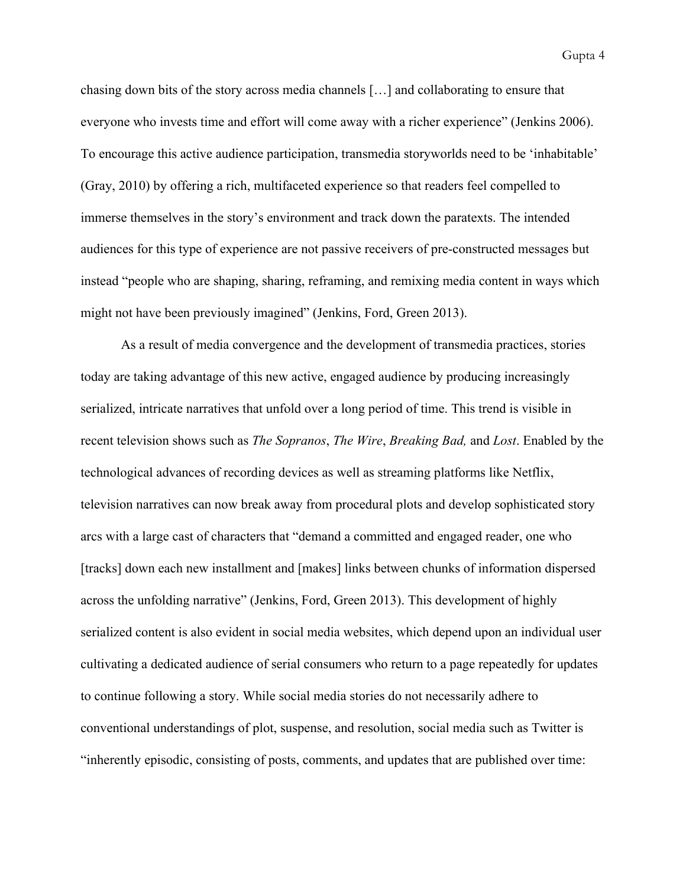chasing down bits of the story across media channels […] and collaborating to ensure that everyone who invests time and effort will come away with a richer experience" (Jenkins 2006). To encourage this active audience participation, transmedia storyworlds need to be 'inhabitable' (Gray, 2010) by offering a rich, multifaceted experience so that readers feel compelled to immerse themselves in the story's environment and track down the paratexts. The intended audiences for this type of experience are not passive receivers of pre-constructed messages but instead "people who are shaping, sharing, reframing, and remixing media content in ways which might not have been previously imagined" (Jenkins, Ford, Green 2013).

As a result of media convergence and the development of transmedia practices, stories today are taking advantage of this new active, engaged audience by producing increasingly serialized, intricate narratives that unfold over a long period of time. This trend is visible in recent television shows such as *The Sopranos*, *The Wire*, *Breaking Bad,* and *Lost*. Enabled by the technological advances of recording devices as well as streaming platforms like Netflix, television narratives can now break away from procedural plots and develop sophisticated story arcs with a large cast of characters that "demand a committed and engaged reader, one who [tracks] down each new installment and [makes] links between chunks of information dispersed across the unfolding narrative" (Jenkins, Ford, Green 2013). This development of highly serialized content is also evident in social media websites, which depend upon an individual user cultivating a dedicated audience of serial consumers who return to a page repeatedly for updates to continue following a story. While social media stories do not necessarily adhere to conventional understandings of plot, suspense, and resolution, social media such as Twitter is "inherently episodic, consisting of posts, comments, and updates that are published over time: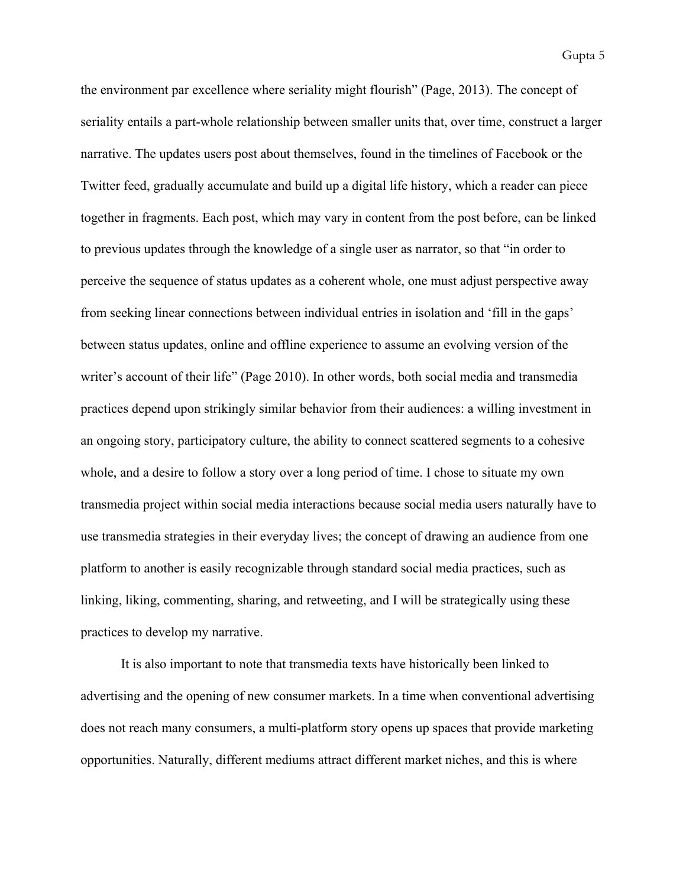the environment par excellence where seriality might flourish" (Page, 2013). The concept of seriality entails a part-whole relationship between smaller units that, over time, construct a larger narrative. The updates users post about themselves, found in the timelines of Facebook or the Twitter feed, gradually accumulate and build up a digital life history, which a reader can piece together in fragments. Each post, which may vary in content from the post before, can be linked to previous updates through the knowledge of a single user as narrator, so that "in order to perceive the sequence of status updates as a coherent whole, one must adjust perspective away from seeking linear connections between individual entries in isolation and 'fill in the gaps' between status updates, online and offline experience to assume an evolving version of the writer's account of their life" (Page 2010). In other words, both social media and transmedia practices depend upon strikingly similar behavior from their audiences: a willing investment in an ongoing story, participatory culture, the ability to connect scattered segments to a cohesive whole, and a desire to follow a story over a long period of time. I chose to situate my own transmedia project within social media interactions because social media users naturally have to use transmedia strategies in their everyday lives; the concept of drawing an audience from one platform to another is easily recognizable through standard social media practices, such as linking, liking, commenting, sharing, and retweeting, and I will be strategically using these practices to develop my narrative.

It is also important to note that transmedia texts have historically been linked to advertising and the opening of new consumer markets. In a time when conventional advertising does not reach many consumers, a multi-platform story opens up spaces that provide marketing opportunities. Naturally, different mediums attract different market niches, and this is where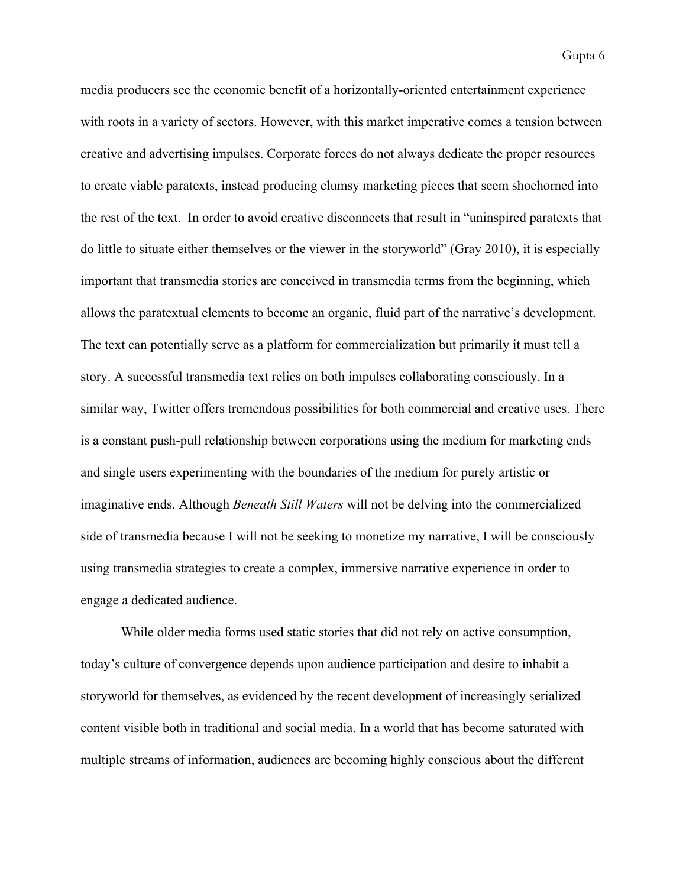media producers see the economic benefit of a horizontally-oriented entertainment experience with roots in a variety of sectors. However, with this market imperative comes a tension between creative and advertising impulses. Corporate forces do not always dedicate the proper resources to create viable paratexts, instead producing clumsy marketing pieces that seem shoehorned into the rest of the text. In order to avoid creative disconnects that result in "uninspired paratexts that do little to situate either themselves or the viewer in the storyworld" (Gray 2010), it is especially important that transmedia stories are conceived in transmedia terms from the beginning, which allows the paratextual elements to become an organic, fluid part of the narrative's development. The text can potentially serve as a platform for commercialization but primarily it must tell a story. A successful transmedia text relies on both impulses collaborating consciously. In a similar way, Twitter offers tremendous possibilities for both commercial and creative uses. There is a constant push-pull relationship between corporations using the medium for marketing ends and single users experimenting with the boundaries of the medium for purely artistic or imaginative ends. Although *Beneath Still Waters* will not be delving into the commercialized side of transmedia because I will not be seeking to monetize my narrative, I will be consciously using transmedia strategies to create a complex, immersive narrative experience in order to engage a dedicated audience.

While older media forms used static stories that did not rely on active consumption, today's culture of convergence depends upon audience participation and desire to inhabit a storyworld for themselves, as evidenced by the recent development of increasingly serialized content visible both in traditional and social media. In a world that has become saturated with multiple streams of information, audiences are becoming highly conscious about the different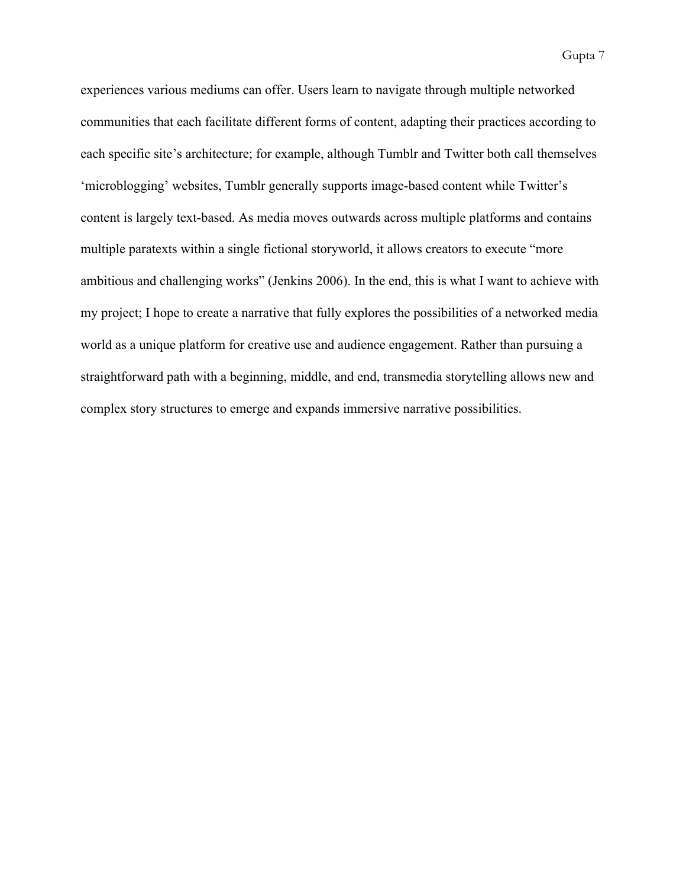experiences various mediums can offer. Users learn to navigate through multiple networked communities that each facilitate different forms of content, adapting their practices according to each specific site's architecture; for example, although Tumblr and Twitter both call themselves 'microblogging' websites, Tumblr generally supports image-based content while Twitter's content is largely text-based. As media moves outwards across multiple platforms and contains multiple paratexts within a single fictional storyworld, it allows creators to execute "more ambitious and challenging works" (Jenkins 2006). In the end, this is what I want to achieve with my project; I hope to create a narrative that fully explores the possibilities of a networked media world as a unique platform for creative use and audience engagement. Rather than pursuing a straightforward path with a beginning, middle, and end, transmedia storytelling allows new and complex story structures to emerge and expands immersive narrative possibilities.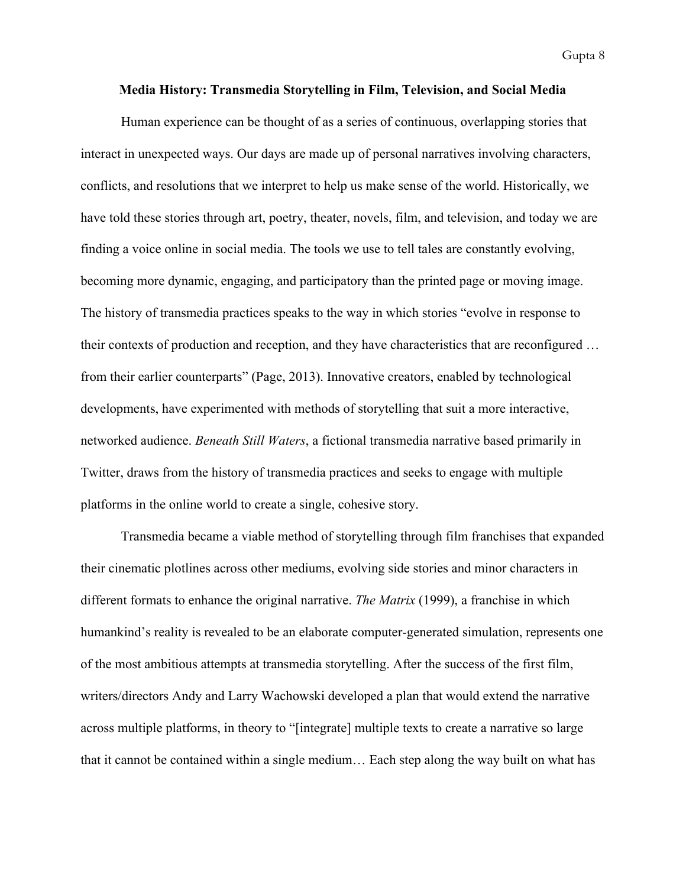## **Media History: Transmedia Storytelling in Film, Television, and Social Media**

Human experience can be thought of as a series of continuous, overlapping stories that interact in unexpected ways. Our days are made up of personal narratives involving characters, conflicts, and resolutions that we interpret to help us make sense of the world. Historically, we have told these stories through art, poetry, theater, novels, film, and television, and today we are finding a voice online in social media. The tools we use to tell tales are constantly evolving, becoming more dynamic, engaging, and participatory than the printed page or moving image. The history of transmedia practices speaks to the way in which stories "evolve in response to their contexts of production and reception, and they have characteristics that are reconfigured … from their earlier counterparts" (Page, 2013). Innovative creators, enabled by technological developments, have experimented with methods of storytelling that suit a more interactive, networked audience. *Beneath Still Waters*, a fictional transmedia narrative based primarily in Twitter, draws from the history of transmedia practices and seeks to engage with multiple platforms in the online world to create a single, cohesive story.

Transmedia became a viable method of storytelling through film franchises that expanded their cinematic plotlines across other mediums, evolving side stories and minor characters in different formats to enhance the original narrative. *The Matrix* (1999), a franchise in which humankind's reality is revealed to be an elaborate computer-generated simulation, represents one of the most ambitious attempts at transmedia storytelling. After the success of the first film, writers/directors Andy and Larry Wachowski developed a plan that would extend the narrative across multiple platforms, in theory to "[integrate] multiple texts to create a narrative so large that it cannot be contained within a single medium… Each step along the way built on what has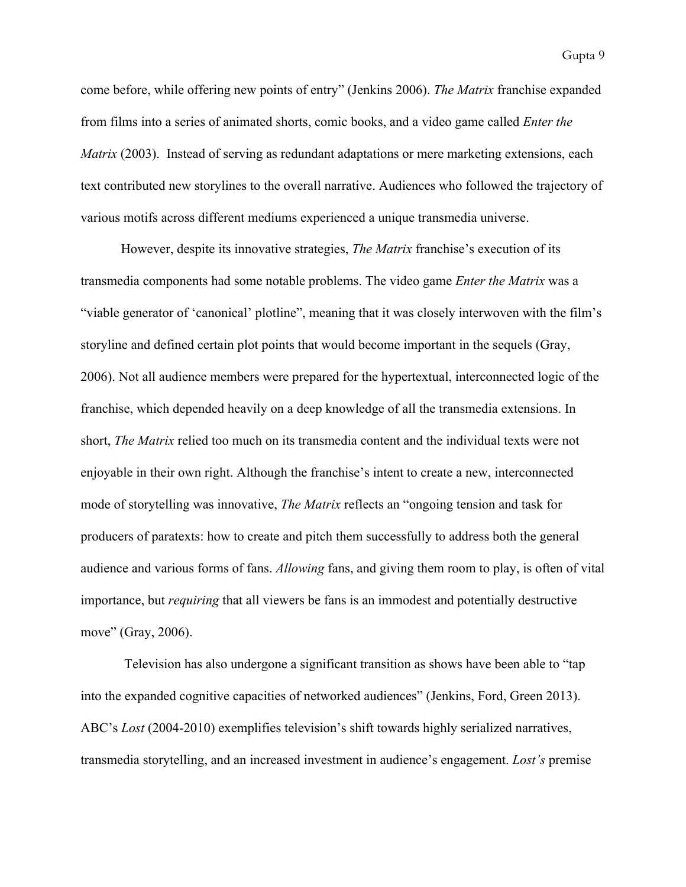come before, while offering new points of entry" (Jenkins 2006). *The Matrix* franchise expanded from films into a series of animated shorts, comic books, and a video game called *Enter the Matrix* (2003). Instead of serving as redundant adaptations or mere marketing extensions, each text contributed new storylines to the overall narrative. Audiences who followed the trajectory of various motifs across different mediums experienced a unique transmedia universe.

However, despite its innovative strategies, *The Matrix* franchise's execution of its transmedia components had some notable problems. The video game *Enter the Matrix* was a "viable generator of 'canonical' plotline", meaning that it was closely interwoven with the film's storyline and defined certain plot points that would become important in the sequels (Gray, 2006). Not all audience members were prepared for the hypertextual, interconnected logic of the franchise, which depended heavily on a deep knowledge of all the transmedia extensions. In short, *The Matrix* relied too much on its transmedia content and the individual texts were not enjoyable in their own right. Although the franchise's intent to create a new, interconnected mode of storytelling was innovative, *The Matrix* reflects an "ongoing tension and task for producers of paratexts: how to create and pitch them successfully to address both the general audience and various forms of fans. *Allowing* fans, and giving them room to play, is often of vital importance, but *requiring* that all viewers be fans is an immodest and potentially destructive move" (Gray, 2006).

Television has also undergone a significant transition as shows have been able to "tap into the expanded cognitive capacities of networked audiences" (Jenkins, Ford, Green 2013). ABC's *Lost* (2004-2010) exemplifies television's shift towards highly serialized narratives, transmedia storytelling, and an increased investment in audience's engagement. *Lost's* premise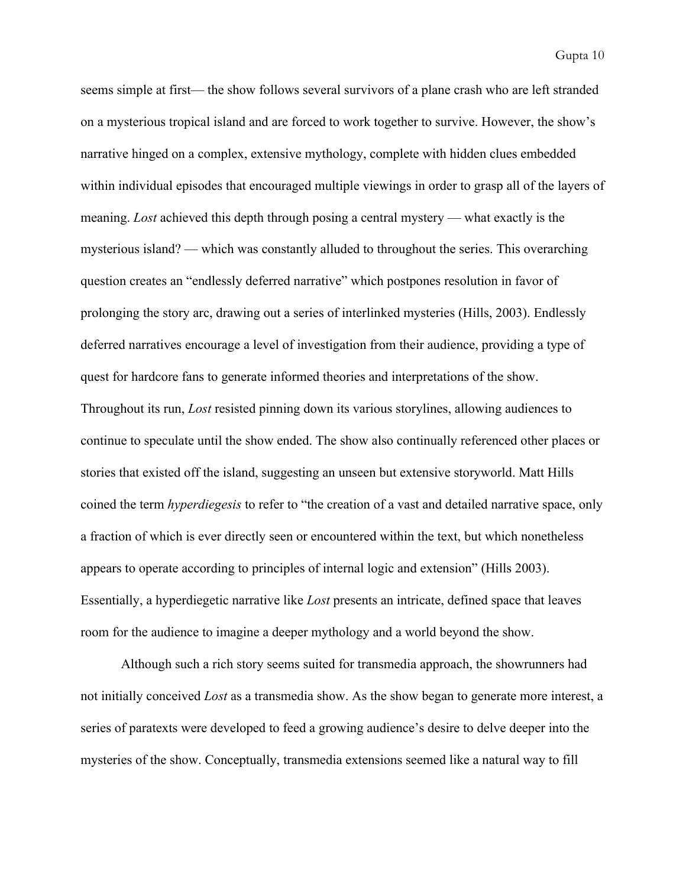seems simple at first— the show follows several survivors of a plane crash who are left stranded on a mysterious tropical island and are forced to work together to survive. However, the show's narrative hinged on a complex, extensive mythology, complete with hidden clues embedded within individual episodes that encouraged multiple viewings in order to grasp all of the layers of meaning. *Lost* achieved this depth through posing a central mystery — what exactly is the mysterious island? — which was constantly alluded to throughout the series. This overarching question creates an "endlessly deferred narrative" which postpones resolution in favor of prolonging the story arc, drawing out a series of interlinked mysteries (Hills, 2003). Endlessly deferred narratives encourage a level of investigation from their audience, providing a type of quest for hardcore fans to generate informed theories and interpretations of the show. Throughout its run, *Lost* resisted pinning down its various storylines, allowing audiences to continue to speculate until the show ended. The show also continually referenced other places or stories that existed off the island, suggesting an unseen but extensive storyworld. Matt Hills coined the term *hyperdiegesis* to refer to "the creation of a vast and detailed narrative space, only a fraction of which is ever directly seen or encountered within the text, but which nonetheless appears to operate according to principles of internal logic and extension" (Hills 2003). Essentially, a hyperdiegetic narrative like *Lost* presents an intricate, defined space that leaves room for the audience to imagine a deeper mythology and a world beyond the show.

Although such a rich story seems suited for transmedia approach, the showrunners had not initially conceived *Lost* as a transmedia show. As the show began to generate more interest, a series of paratexts were developed to feed a growing audience's desire to delve deeper into the mysteries of the show. Conceptually, transmedia extensions seemed like a natural way to fill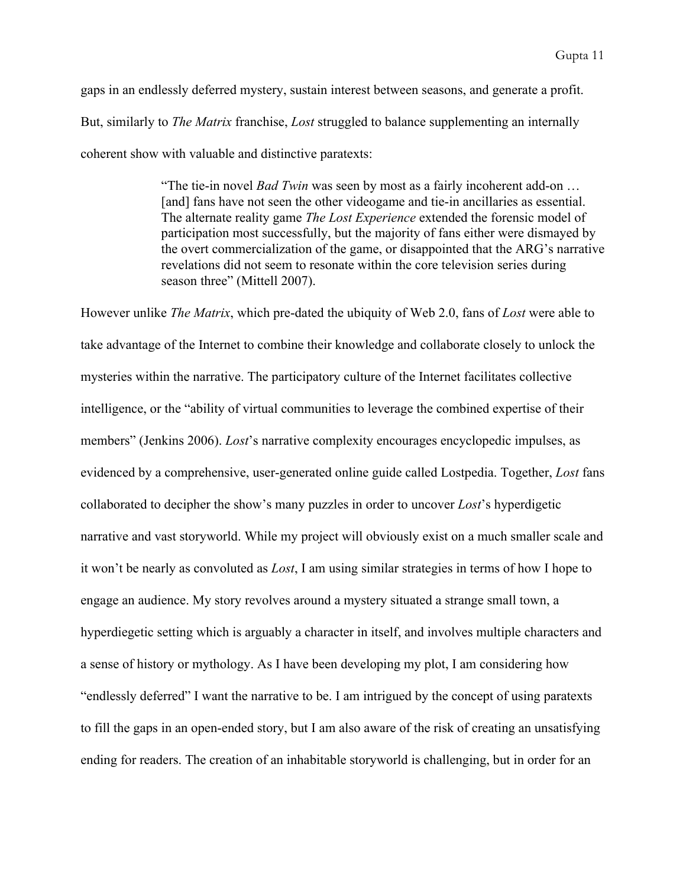gaps in an endlessly deferred mystery, sustain interest between seasons, and generate a profit. But, similarly to *The Matrix* franchise, *Lost* struggled to balance supplementing an internally coherent show with valuable and distinctive paratexts:

> "The tie-in novel *Bad Twin* was seen by most as a fairly incoherent add-on ... [and] fans have not seen the other videogame and tie-in ancillaries as essential. The alternate reality game *The Lost Experience* extended the forensic model of participation most successfully, but the majority of fans either were dismayed by the overt commercialization of the game, or disappointed that the ARG's narrative revelations did not seem to resonate within the core television series during season three" (Mittell 2007).

However unlike *The Matrix*, which pre-dated the ubiquity of Web 2.0, fans of *Lost* were able to take advantage of the Internet to combine their knowledge and collaborate closely to unlock the mysteries within the narrative. The participatory culture of the Internet facilitates collective intelligence, or the "ability of virtual communities to leverage the combined expertise of their members" (Jenkins 2006). *Lost*'s narrative complexity encourages encyclopedic impulses, as evidenced by a comprehensive, user-generated online guide called Lostpedia. Together, *Lost* fans collaborated to decipher the show's many puzzles in order to uncover *Lost*'s hyperdigetic narrative and vast storyworld. While my project will obviously exist on a much smaller scale and it won't be nearly as convoluted as *Lost*, I am using similar strategies in terms of how I hope to engage an audience. My story revolves around a mystery situated a strange small town, a hyperdiegetic setting which is arguably a character in itself, and involves multiple characters and a sense of history or mythology. As I have been developing my plot, I am considering how "endlessly deferred" I want the narrative to be. I am intrigued by the concept of using paratexts to fill the gaps in an open-ended story, but I am also aware of the risk of creating an unsatisfying ending for readers. The creation of an inhabitable storyworld is challenging, but in order for an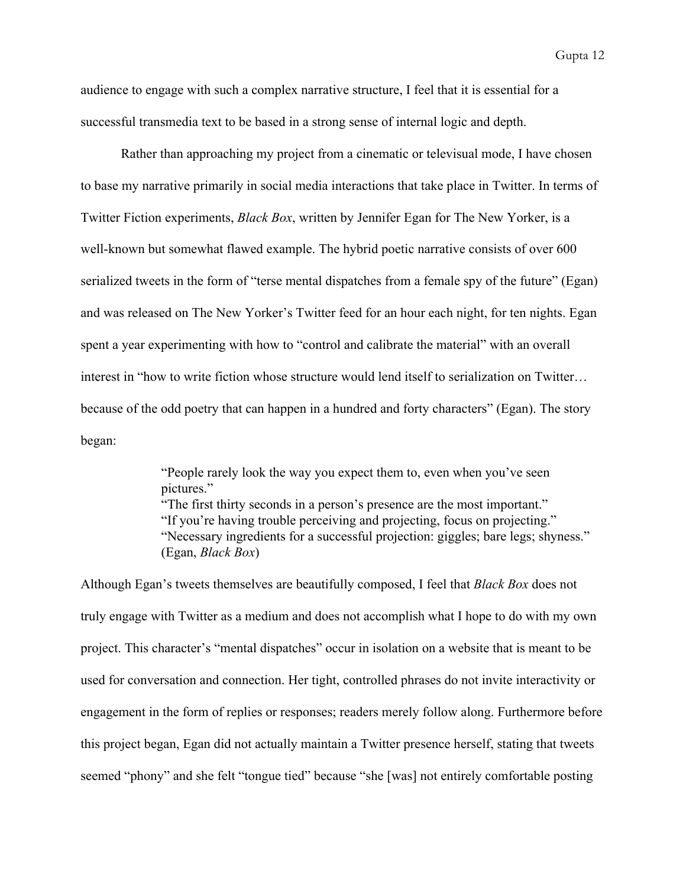audience to engage with such a complex narrative structure, I feel that it is essential for a successful transmedia text to be based in a strong sense of internal logic and depth.

Rather than approaching my project from a cinematic or televisual mode, I have chosen to base my narrative primarily in social media interactions that take place in Twitter. In terms of Twitter Fiction experiments, *Black Box*, written by Jennifer Egan for The New Yorker, is a well-known but somewhat flawed example. The hybrid poetic narrative consists of over 600 serialized tweets in the form of "terse mental dispatches from a female spy of the future" (Egan) and was released on The New Yorker's Twitter feed for an hour each night, for ten nights. Egan spent a year experimenting with how to "control and calibrate the material" with an overall interest in "how to write fiction whose structure would lend itself to serialization on Twitter… because of the odd poetry that can happen in a hundred and forty characters" (Egan). The story began:

> "People rarely look the way you expect them to, even when you've seen pictures." "The first thirty seconds in a person's presence are the most important." "If you're having trouble perceiving and projecting, focus on projecting." "Necessary ingredients for a successful projection: giggles; bare legs; shyness." (Egan, *Black Box*)

Although Egan's tweets themselves are beautifully composed, I feel that *Black Box* does not truly engage with Twitter as a medium and does not accomplish what I hope to do with my own project. This character's "mental dispatches" occur in isolation on a website that is meant to be used for conversation and connection. Her tight, controlled phrases do not invite interactivity or engagement in the form of replies or responses; readers merely follow along. Furthermore before this project began, Egan did not actually maintain a Twitter presence herself, stating that tweets seemed "phony" and she felt "tongue tied" because "she [was] not entirely comfortable posting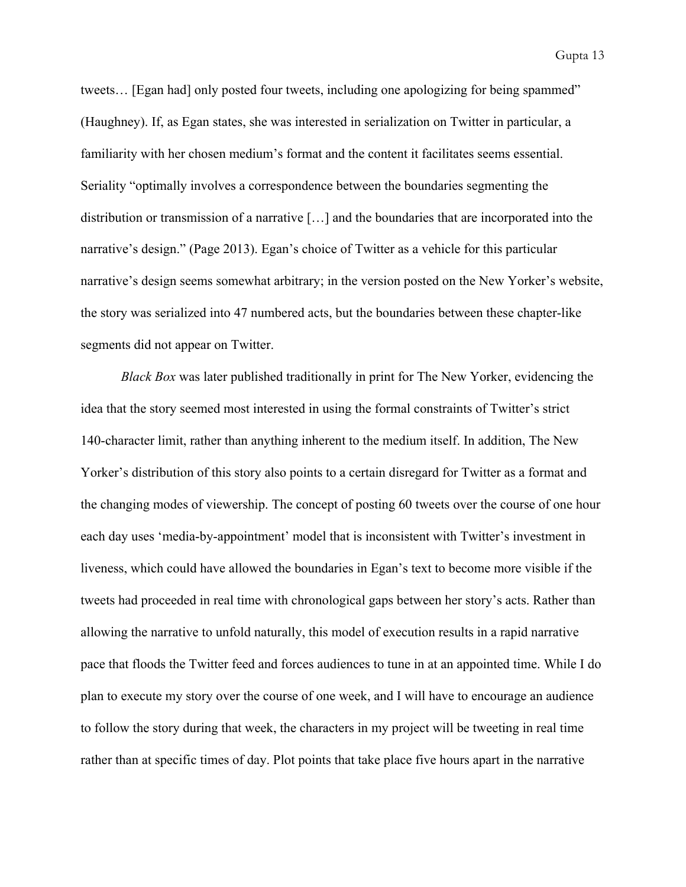tweets... [Egan had] only posted four tweets, including one apologizing for being spammed" (Haughney). If, as Egan states, she was interested in serialization on Twitter in particular, a familiarity with her chosen medium's format and the content it facilitates seems essential. Seriality "optimally involves a correspondence between the boundaries segmenting the distribution or transmission of a narrative […] and the boundaries that are incorporated into the narrative's design." (Page 2013). Egan's choice of Twitter as a vehicle for this particular narrative's design seems somewhat arbitrary; in the version posted on the New Yorker's website, the story was serialized into 47 numbered acts, but the boundaries between these chapter-like segments did not appear on Twitter.

*Black Box* was later published traditionally in print for The New Yorker, evidencing the idea that the story seemed most interested in using the formal constraints of Twitter's strict 140-character limit, rather than anything inherent to the medium itself. In addition, The New Yorker's distribution of this story also points to a certain disregard for Twitter as a format and the changing modes of viewership. The concept of posting 60 tweets over the course of one hour each day uses 'media-by-appointment' model that is inconsistent with Twitter's investment in liveness, which could have allowed the boundaries in Egan's text to become more visible if the tweets had proceeded in real time with chronological gaps between her story's acts. Rather than allowing the narrative to unfold naturally, this model of execution results in a rapid narrative pace that floods the Twitter feed and forces audiences to tune in at an appointed time. While I do plan to execute my story over the course of one week, and I will have to encourage an audience to follow the story during that week, the characters in my project will be tweeting in real time rather than at specific times of day. Plot points that take place five hours apart in the narrative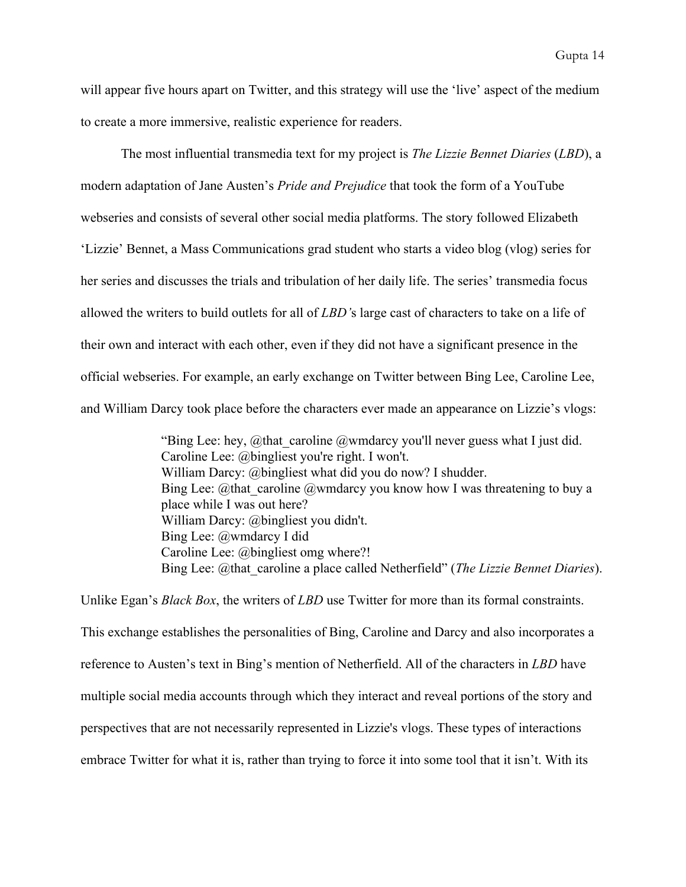will appear five hours apart on Twitter, and this strategy will use the 'live' aspect of the medium to create a more immersive, realistic experience for readers.

The most influential transmedia text for my project is *The Lizzie Bennet Diaries* (*LBD*), a modern adaptation of Jane Austen's *Pride and Prejudice* that took the form of a YouTube webseries and consists of several other social media platforms. The story followed Elizabeth 'Lizzie' Bennet, a Mass Communications grad student who starts a video blog (vlog) series for her series and discusses the trials and tribulation of her daily life. The series' transmedia focus allowed the writers to build outlets for all of *LBD'*s large cast of characters to take on a life of their own and interact with each other, even if they did not have a significant presence in the official webseries. For example, an early exchange on Twitter between Bing Lee, Caroline Lee, and William Darcy took place before the characters ever made an appearance on Lizzie's vlogs:

> "Bing Lee: hey, @that\_caroline @wmdarcy you'll never guess what I just did. Caroline Lee: @bingliest you're right. I won't. William Darcy: @bingliest what did you do now? I shudder. Bing Lee: @that\_caroline @wmdarcy you know how I was threatening to buy a place while I was out here? William Darcy: @bingliest you didn't. Bing Lee: @wmdarcy I did Caroline Lee: @bingliest omg where?! Bing Lee: @that\_caroline a place called Netherfield" (*The Lizzie Bennet Diaries*).

Unlike Egan's *Black Box*, the writers of *LBD* use Twitter for more than its formal constraints. This exchange establishes the personalities of Bing, Caroline and Darcy and also incorporates a reference to Austen's text in Bing's mention of Netherfield. All of the characters in *LBD* have multiple social media accounts through which they interact and reveal portions of the story and perspectives that are not necessarily represented in Lizzie's vlogs. These types of interactions embrace Twitter for what it is, rather than trying to force it into some tool that it isn't. With its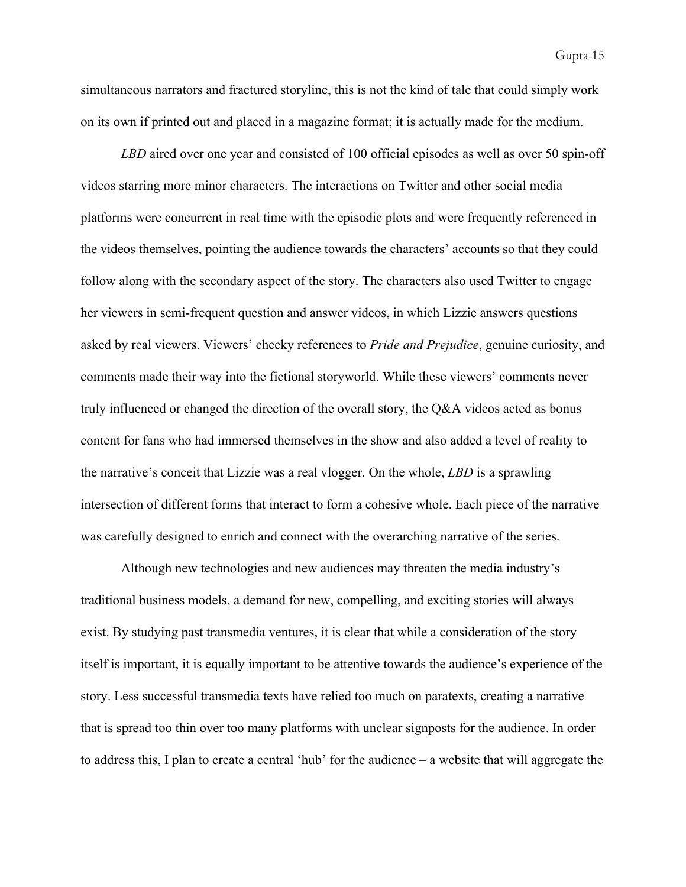simultaneous narrators and fractured storyline, this is not the kind of tale that could simply work on its own if printed out and placed in a magazine format; it is actually made for the medium.

*LBD* aired over one year and consisted of 100 official episodes as well as over 50 spin-off videos starring more minor characters. The interactions on Twitter and other social media platforms were concurrent in real time with the episodic plots and were frequently referenced in the videos themselves, pointing the audience towards the characters' accounts so that they could follow along with the secondary aspect of the story. The characters also used Twitter to engage her viewers in semi-frequent question and answer videos, in which Lizzie answers questions asked by real viewers. Viewers' cheeky references to *Pride and Prejudice*, genuine curiosity, and comments made their way into the fictional storyworld. While these viewers' comments never truly influenced or changed the direction of the overall story, the Q&A videos acted as bonus content for fans who had immersed themselves in the show and also added a level of reality to the narrative's conceit that Lizzie was a real vlogger. On the whole, *LBD* is a sprawling intersection of different forms that interact to form a cohesive whole. Each piece of the narrative was carefully designed to enrich and connect with the overarching narrative of the series.

Although new technologies and new audiences may threaten the media industry's traditional business models, a demand for new, compelling, and exciting stories will always exist. By studying past transmedia ventures, it is clear that while a consideration of the story itself is important, it is equally important to be attentive towards the audience's experience of the story. Less successful transmedia texts have relied too much on paratexts, creating a narrative that is spread too thin over too many platforms with unclear signposts for the audience. In order to address this, I plan to create a central 'hub' for the audience – a website that will aggregate the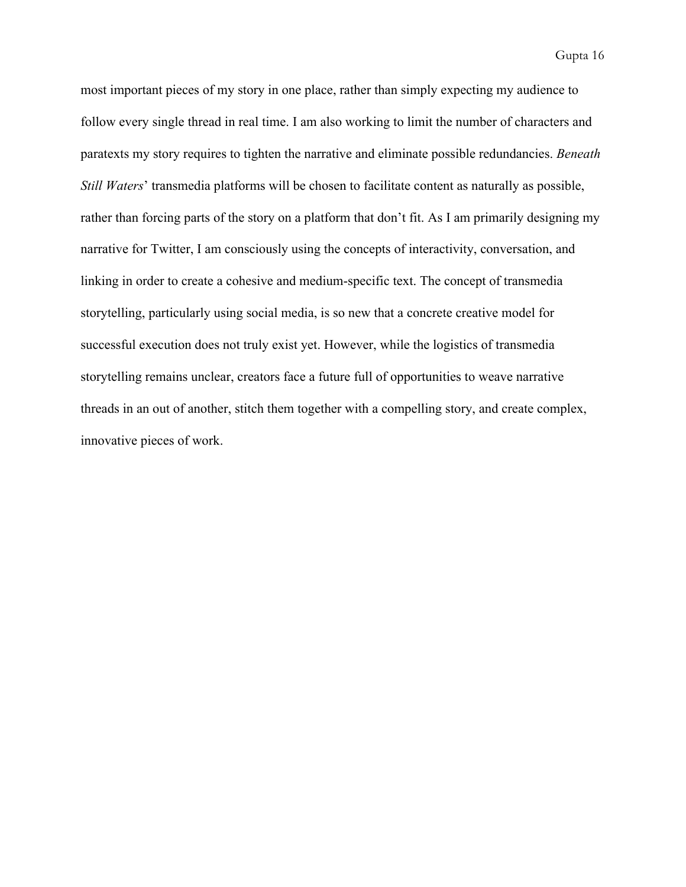most important pieces of my story in one place, rather than simply expecting my audience to follow every single thread in real time. I am also working to limit the number of characters and paratexts my story requires to tighten the narrative and eliminate possible redundancies. *Beneath Still Waters*' transmedia platforms will be chosen to facilitate content as naturally as possible, rather than forcing parts of the story on a platform that don't fit. As I am primarily designing my narrative for Twitter, I am consciously using the concepts of interactivity, conversation, and linking in order to create a cohesive and medium-specific text. The concept of transmedia storytelling, particularly using social media, is so new that a concrete creative model for successful execution does not truly exist yet. However, while the logistics of transmedia storytelling remains unclear, creators face a future full of opportunities to weave narrative threads in an out of another, stitch them together with a compelling story, and create complex, innovative pieces of work.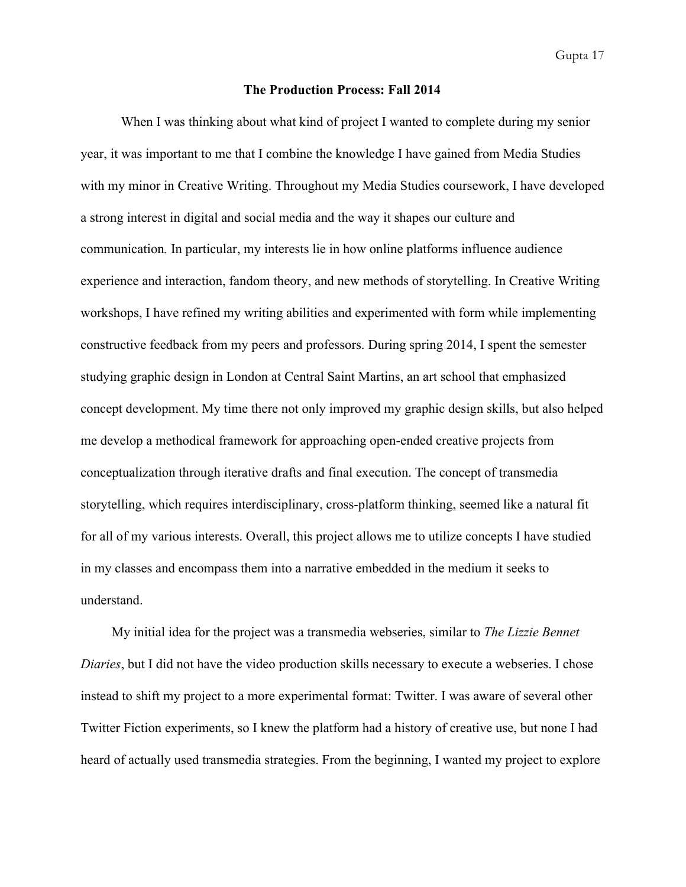## **The Production Process: Fall 2014**

When I was thinking about what kind of project I wanted to complete during my senior year, it was important to me that I combine the knowledge I have gained from Media Studies with my minor in Creative Writing. Throughout my Media Studies coursework, I have developed a strong interest in digital and social media and the way it shapes our culture and communication*.* In particular, my interests lie in how online platforms influence audience experience and interaction, fandom theory, and new methods of storytelling. In Creative Writing workshops, I have refined my writing abilities and experimented with form while implementing constructive feedback from my peers and professors. During spring 2014, I spent the semester studying graphic design in London at Central Saint Martins, an art school that emphasized concept development. My time there not only improved my graphic design skills, but also helped me develop a methodical framework for approaching open-ended creative projects from conceptualization through iterative drafts and final execution. The concept of transmedia storytelling, which requires interdisciplinary, cross-platform thinking, seemed like a natural fit for all of my various interests. Overall, this project allows me to utilize concepts I have studied in my classes and encompass them into a narrative embedded in the medium it seeks to understand.

My initial idea for the project was a transmedia webseries, similar to *The Lizzie Bennet Diaries*, but I did not have the video production skills necessary to execute a webseries. I chose instead to shift my project to a more experimental format: Twitter. I was aware of several other Twitter Fiction experiments, so I knew the platform had a history of creative use, but none I had heard of actually used transmedia strategies. From the beginning, I wanted my project to explore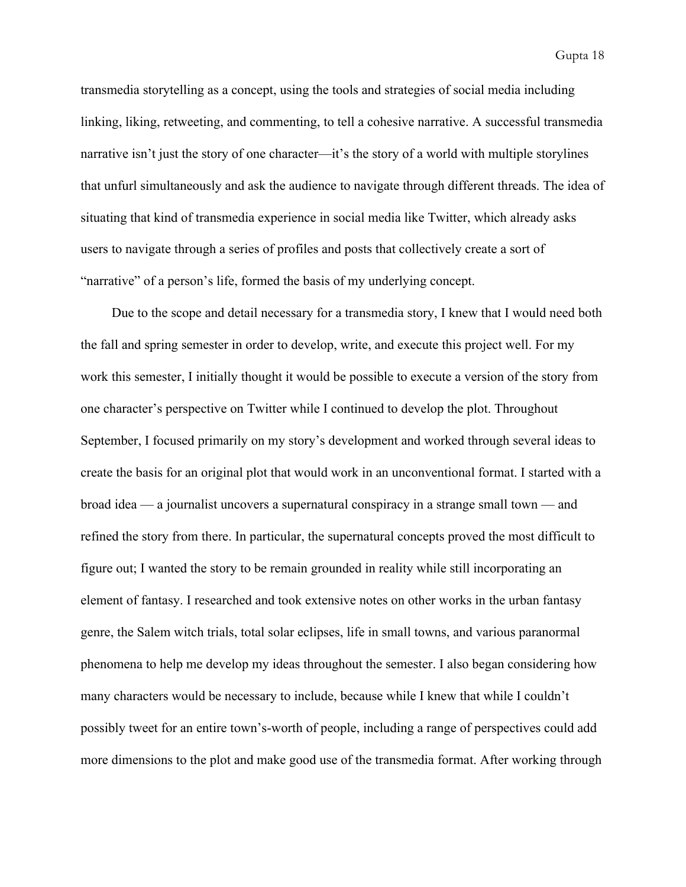transmedia storytelling as a concept, using the tools and strategies of social media including linking, liking, retweeting, and commenting, to tell a cohesive narrative. A successful transmedia narrative isn't just the story of one character—it's the story of a world with multiple storylines that unfurl simultaneously and ask the audience to navigate through different threads. The idea of situating that kind of transmedia experience in social media like Twitter, which already asks users to navigate through a series of profiles and posts that collectively create a sort of "narrative" of a person's life, formed the basis of my underlying concept.

Due to the scope and detail necessary for a transmedia story, I knew that I would need both the fall and spring semester in order to develop, write, and execute this project well. For my work this semester, I initially thought it would be possible to execute a version of the story from one character's perspective on Twitter while I continued to develop the plot. Throughout September, I focused primarily on my story's development and worked through several ideas to create the basis for an original plot that would work in an unconventional format. I started with a broad idea — a journalist uncovers a supernatural conspiracy in a strange small town — and refined the story from there. In particular, the supernatural concepts proved the most difficult to figure out; I wanted the story to be remain grounded in reality while still incorporating an element of fantasy. I researched and took extensive notes on other works in the urban fantasy genre, the Salem witch trials, total solar eclipses, life in small towns, and various paranormal phenomena to help me develop my ideas throughout the semester. I also began considering how many characters would be necessary to include, because while I knew that while I couldn't possibly tweet for an entire town's-worth of people, including a range of perspectives could add more dimensions to the plot and make good use of the transmedia format. After working through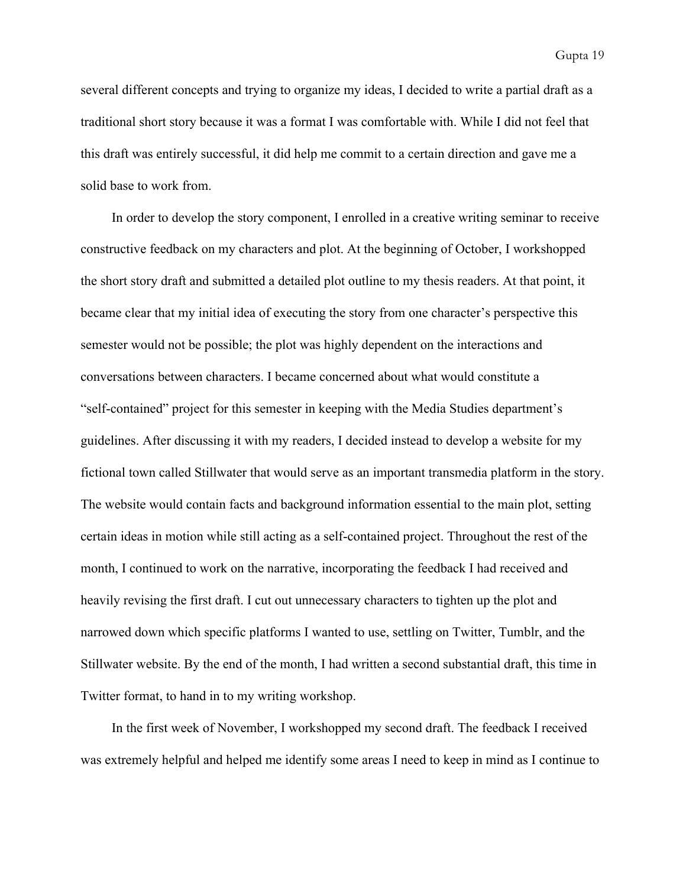several different concepts and trying to organize my ideas, I decided to write a partial draft as a traditional short story because it was a format I was comfortable with. While I did not feel that this draft was entirely successful, it did help me commit to a certain direction and gave me a solid base to work from.

In order to develop the story component, I enrolled in a creative writing seminar to receive constructive feedback on my characters and plot. At the beginning of October, I workshopped the short story draft and submitted a detailed plot outline to my thesis readers. At that point, it became clear that my initial idea of executing the story from one character's perspective this semester would not be possible; the plot was highly dependent on the interactions and conversations between characters. I became concerned about what would constitute a "self-contained" project for this semester in keeping with the Media Studies department's guidelines. After discussing it with my readers, I decided instead to develop a website for my fictional town called Stillwater that would serve as an important transmedia platform in the story. The website would contain facts and background information essential to the main plot, setting certain ideas in motion while still acting as a self-contained project. Throughout the rest of the month, I continued to work on the narrative, incorporating the feedback I had received and heavily revising the first draft. I cut out unnecessary characters to tighten up the plot and narrowed down which specific platforms I wanted to use, settling on Twitter, Tumblr, and the Stillwater website. By the end of the month, I had written a second substantial draft, this time in Twitter format, to hand in to my writing workshop.

In the first week of November, I workshopped my second draft. The feedback I received was extremely helpful and helped me identify some areas I need to keep in mind as I continue to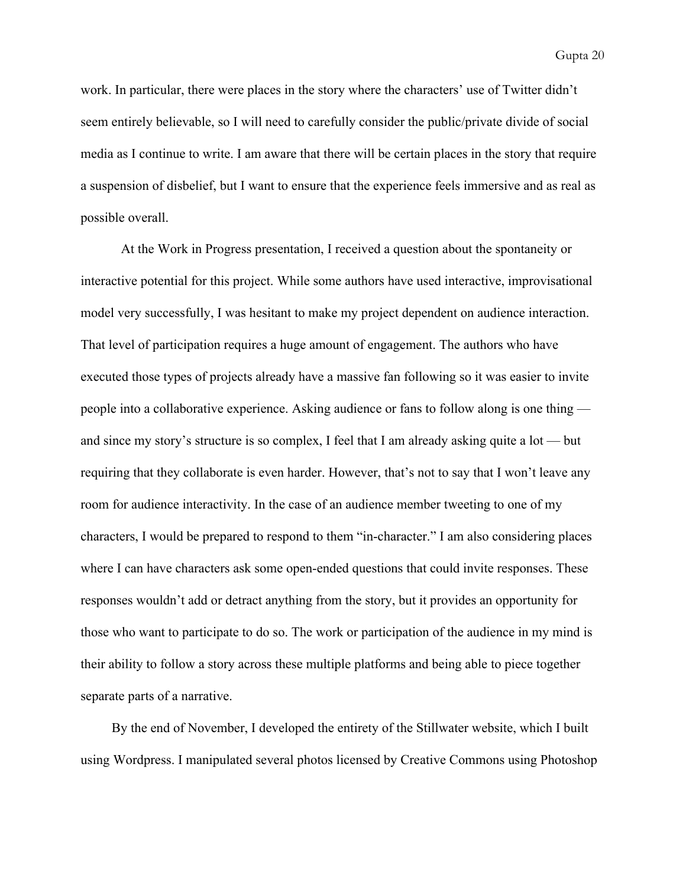work. In particular, there were places in the story where the characters' use of Twitter didn't seem entirely believable, so I will need to carefully consider the public/private divide of social media as I continue to write. I am aware that there will be certain places in the story that require a suspension of disbelief, but I want to ensure that the experience feels immersive and as real as possible overall.

At the Work in Progress presentation, I received a question about the spontaneity or interactive potential for this project. While some authors have used interactive, improvisational model very successfully, I was hesitant to make my project dependent on audience interaction. That level of participation requires a huge amount of engagement. The authors who have executed those types of projects already have a massive fan following so it was easier to invite people into a collaborative experience. Asking audience or fans to follow along is one thing and since my story's structure is so complex, I feel that I am already asking quite a lot — but requiring that they collaborate is even harder. However, that's not to say that I won't leave any room for audience interactivity. In the case of an audience member tweeting to one of my characters, I would be prepared to respond to them "incharacter." I am also considering places where I can have characters ask some open-ended questions that could invite responses. These responses wouldn't add or detract anything from the story, but it provides an opportunity for those who want to participate to do so. The work or participation of the audience in my mind is their ability to follow a story across these multiple platforms and being able to piece together separate parts of a narrative.

By the end of November, I developed the entirety of the Stillwater website, which I built using Wordpress. I manipulated several photos licensed by Creative Commons using Photoshop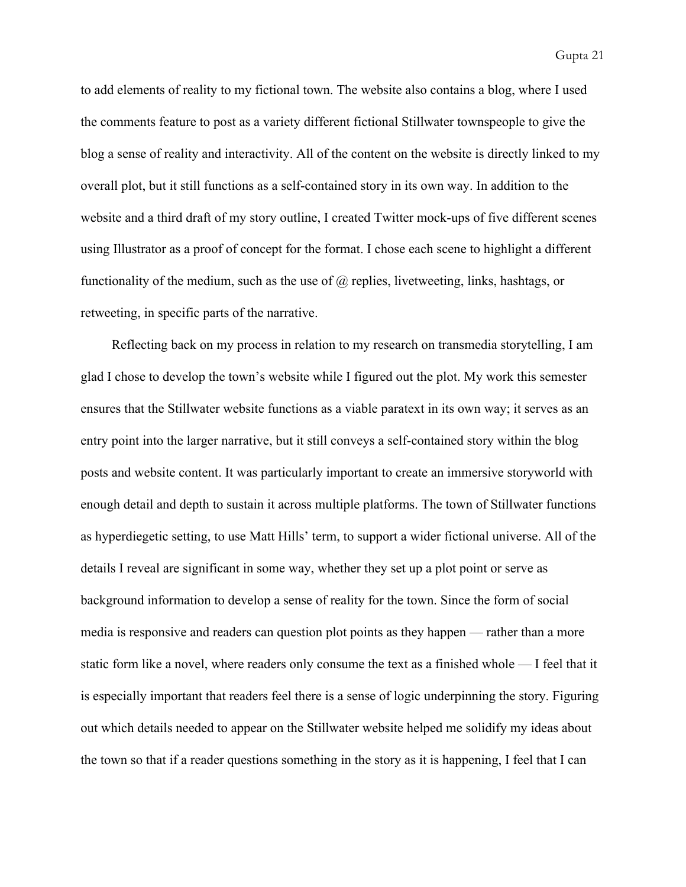to add elements of reality to my fictional town. The website also contains a blog, where I used the comments feature to post as a variety different fictional Stillwater townspeople to give the blog a sense of reality and interactivity. All of the content on the website is directly linked to my overall plot, but it still functions as a self-contained story in its own way. In addition to the website and a third draft of my story outline, I created Twitter mock-ups of five different scenes using Illustrator as a proof of concept for the format. I chose each scene to highlight a different functionality of the medium, such as the use of  $\omega$  replies, livetweeting, links, hashtags, or retweeting, in specific parts of the narrative.

Reflecting back on my process in relation to my research on transmedia storytelling, I am glad I chose to develop the town's website while I figured out the plot. My work this semester ensures that the Stillwater website functions as a viable paratext in its own way; it serves as an entry point into the larger narrative, but it still conveys a self-contained story within the blog posts and website content. It was particularly important to create an immersive storyworld with enough detail and depth to sustain it across multiple platforms. The town of Stillwater functions as hyperdiegetic setting, to use Matt Hills' term, to support a wider fictional universe. All of the details I reveal are significant in some way, whether they set up a plot point or serve as background information to develop a sense of reality for the town. Since the form of social media is responsive and readers can question plot points as they happen — rather than a more static form like a novel, where readers only consume the text as a finished whole — I feel that it is especially important that readers feel there is a sense of logic underpinning the story. Figuring out which details needed to appear on the Stillwater website helped me solidify my ideas about the town so that if a reader questions something in the story as it is happening, I feel that I can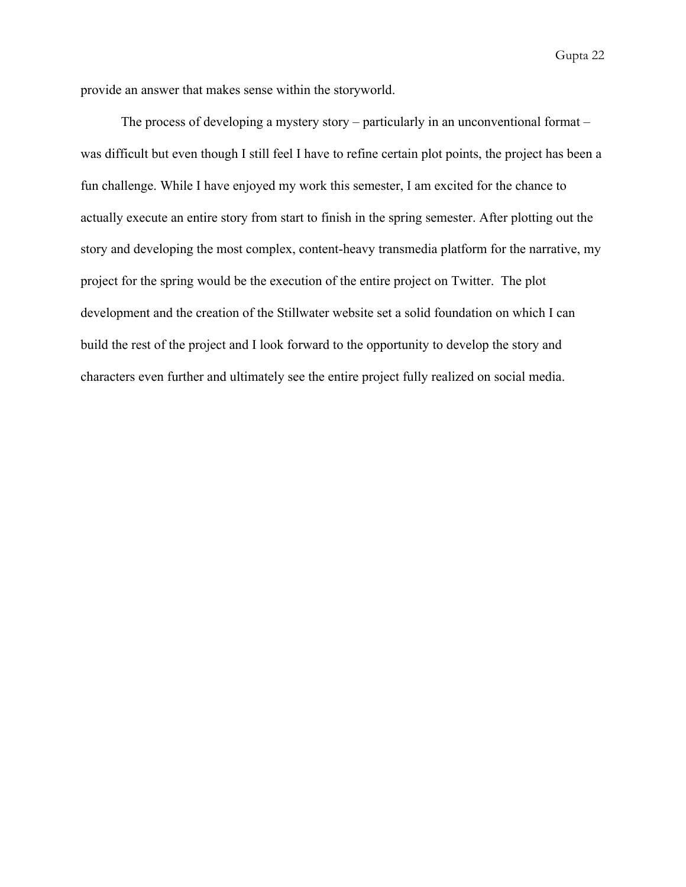provide an answer that makes sense within the storyworld.

The process of developing a mystery story – particularly in an unconventional format – was difficult but even though I still feel I have to refine certain plot points, the project has been a fun challenge. While I have enjoyed my work this semester, I am excited for the chance to actually execute an entire story from start to finish in the spring semester. After plotting out the story and developing the most complex, content-heavy transmedia platform for the narrative, my project for the spring would be the execution of the entire project on Twitter. The plot development and the creation of the Stillwater website set a solid foundation on which I can build the rest of the project and I look forward to the opportunity to develop the story and characters even further and ultimately see the entire project fully realized on social media.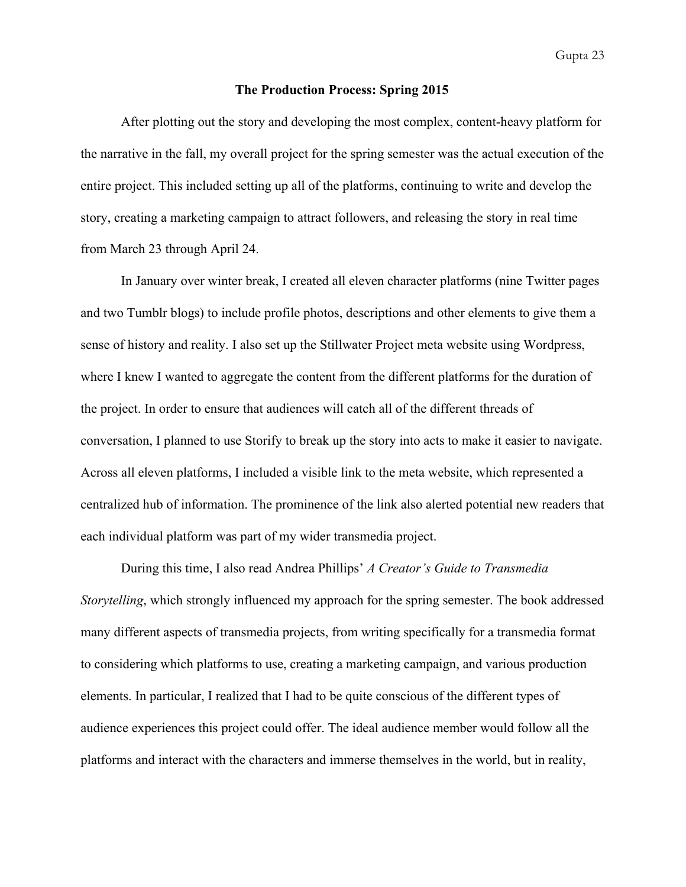#### **The Production Process: Spring 2015**

After plotting out the story and developing the most complex, content-heavy platform for the narrative in the fall, my overall project for the spring semester was the actual execution of the entire project. This included setting up all of the platforms, continuing to write and develop the story, creating a marketing campaign to attract followers, and releasing the story in real time from March 23 through April 24.

In January over winter break, I created all eleven character platforms (nine Twitter pages and two Tumblr blogs) to include profile photos, descriptions and other elements to give them a sense of history and reality. I also set up the Stillwater Project meta website using Wordpress, where I knew I wanted to aggregate the content from the different platforms for the duration of the project. In order to ensure that audiences will catch all of the different threads of conversation, I planned to use Storify to break up the story into acts to make it easier to navigate. Across all eleven platforms, I included a visible link to the meta website, which represented a centralized hub of information. The prominence of the link also alerted potential new readers that each individual platform was part of my wider transmedia project.

During this time, I also read Andrea Phillips' *A Creator's Guide to Transmedia Storytelling*, which strongly influenced my approach for the spring semester. The book addressed many different aspects of transmedia projects, from writing specifically for a transmedia format to considering which platforms to use, creating a marketing campaign, and various production elements. In particular, I realized that I had to be quite conscious of the different types of audience experiences this project could offer. The ideal audience member would follow all the platforms and interact with the characters and immerse themselves in the world, but in reality,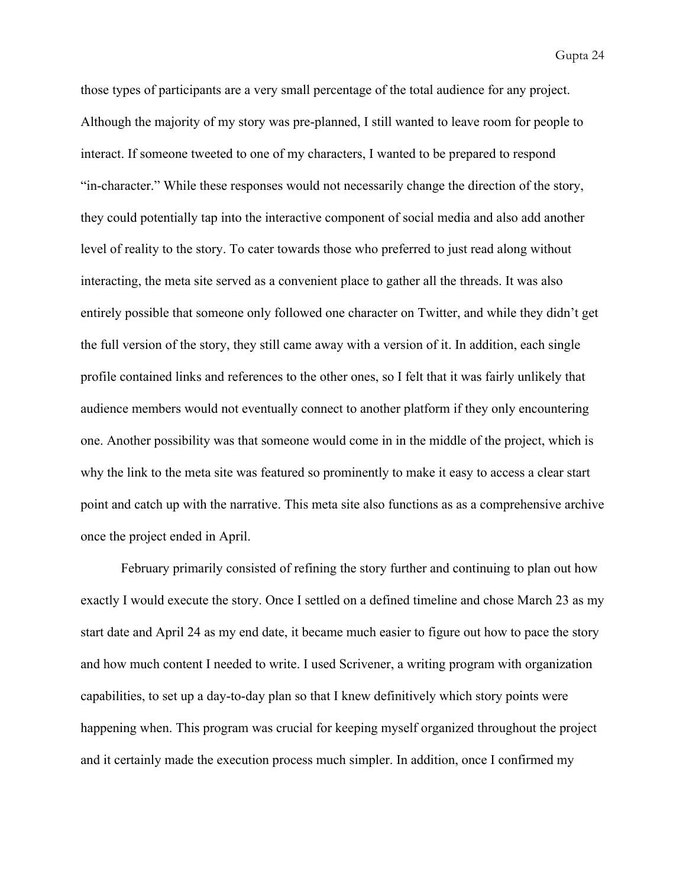those types of participants are a very small percentage of the total audience for any project. Although the majority of my story was pre-planned, I still wanted to leave room for people to interact. If someone tweeted to one of my characters, I wanted to be prepared to respond "incharacter." While these responses would not necessarily change the direction of the story, they could potentially tap into the interactive component of social media and also add another level of reality to the story. To cater towards those who preferred to just read along without interacting, the meta site served as a convenient place to gather all the threads. It was also entirely possible that someone only followed one character on Twitter, and while they didn't get the full version of the story, they still came away with a version of it. In addition, each single profile contained links and references to the other ones, so I felt that it was fairly unlikely that audience members would not eventually connect to another platform if they only encountering one. Another possibility was that someone would come in in the middle of the project, which is why the link to the meta site was featured so prominently to make it easy to access a clear start point and catch up with the narrative. This meta site also functions as as a comprehensive archive once the project ended in April.

February primarily consisted of refining the story further and continuing to plan out how exactly I would execute the story. Once I settled on a defined timeline and chose March 23 as my start date and April 24 as my end date, it became much easier to figure out how to pace the story and how much content I needed to write. I used Scrivener, a writing program with organization capabilities, to set up a day-to-day plan so that I knew definitively which story points were happening when. This program was crucial for keeping myself organized throughout the project and it certainly made the execution process much simpler. In addition, once I confirmed my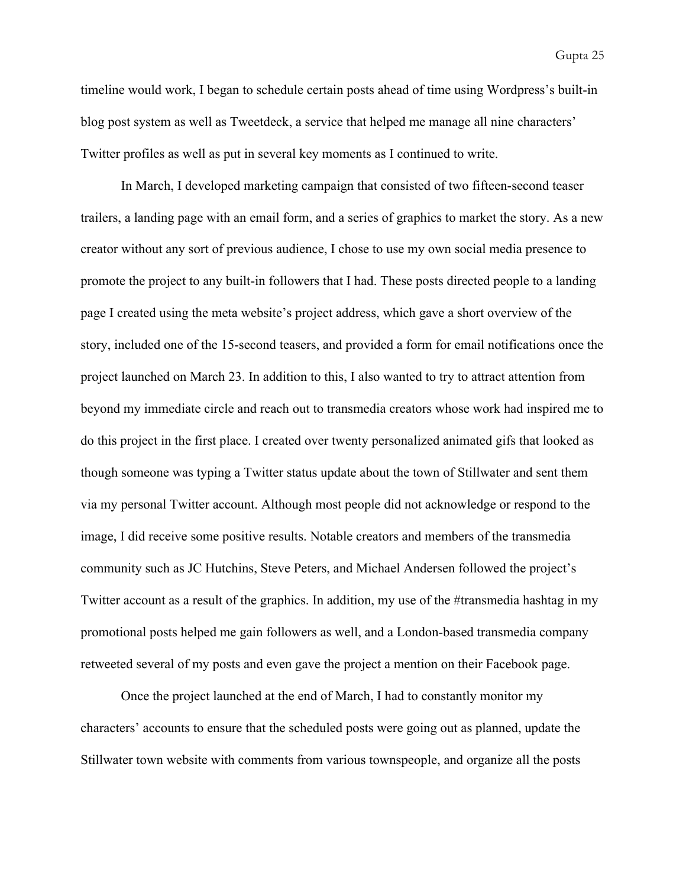timeline would work, I began to schedule certain posts ahead of time using Wordpress's built-in blog post system as well as Tweetdeck, a service that helped me manage all nine characters' Twitter profiles as well as put in several key moments as I continued to write.

In March, I developed marketing campaign that consisted of two fifteen-second teaser trailers, a landing page with an email form, and a series of graphics to market the story. As a new creator without any sort of previous audience, I chose to use my own social media presence to promote the project to any built-in followers that I had. These posts directed people to a landing page I created using the meta website's project address, which gave a short overview of the story, included one of the 15-second teasers, and provided a form for email notifications once the project launched on March 23. In addition to this, I also wanted to try to attract attention from beyond my immediate circle and reach out to transmedia creators whose work had inspired me to do this project in the first place. I created over twenty personalized animated gifs that looked as though someone was typing a Twitter status update about the town of Stillwater and sent them via my personal Twitter account. Although most people did not acknowledge or respond to the image, I did receive some positive results. Notable creators and members of the transmedia community such as JC Hutchins, Steve Peters, and Michael Andersen followed the project's Twitter account as a result of the graphics. In addition, my use of the #transmedia hashtag in my promotional posts helped me gain followers as well, and a London-based transmedia company retweeted several of my posts and even gave the project a mention on their Facebook page.

Once the project launched at the end of March, I had to constantly monitor my characters' accounts to ensure that the scheduled posts were going out as planned, update the Stillwater town website with comments from various townspeople, and organize all the posts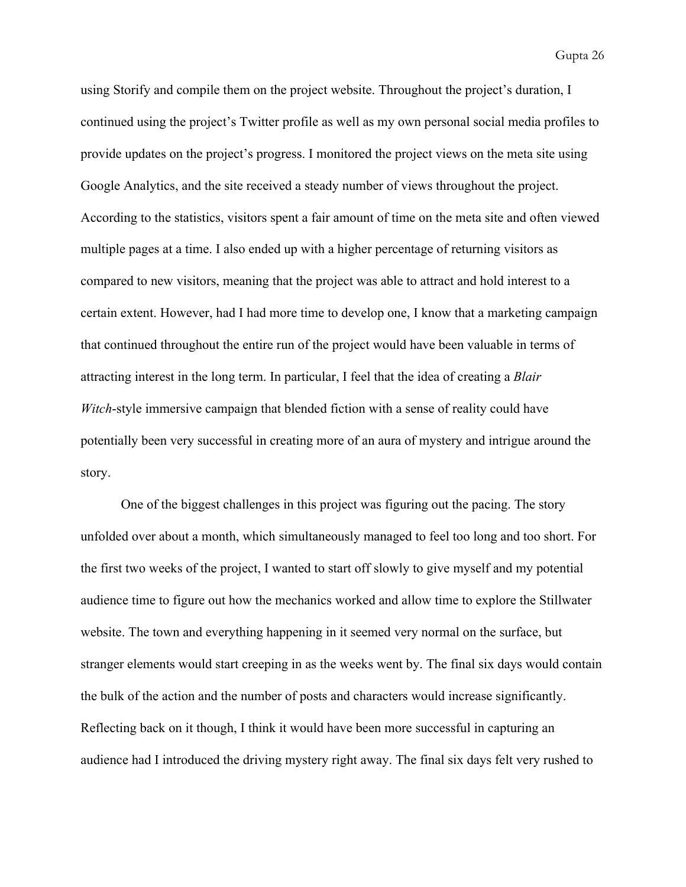using Storify and compile them on the project website. Throughout the project's duration, I continued using the project's Twitter profile as well as my own personal social media profiles to provide updates on the project's progress. I monitored the project views on the meta site using Google Analytics, and the site received a steady number of views throughout the project. According to the statistics, visitors spent a fair amount of time on the meta site and often viewed multiple pages at a time. I also ended up with a higher percentage of returning visitors as compared to new visitors, meaning that the project was able to attract and hold interest to a certain extent. However, had I had more time to develop one, I know that a marketing campaign that continued throughout the entire run of the project would have been valuable in terms of attracting interest in the long term. In particular, I feel that the idea of creating a *Blair Witch*-style immersive campaign that blended fiction with a sense of reality could have potentially been very successful in creating more of an aura of mystery and intrigue around the story.

One of the biggest challenges in this project was figuring out the pacing. The story unfolded over about a month, which simultaneously managed to feel too long and too short. For the first two weeks of the project, I wanted to start off slowly to give myself and my potential audience time to figure out how the mechanics worked and allow time to explore the Stillwater website. The town and everything happening in it seemed very normal on the surface, but stranger elements would start creeping in as the weeks went by. The final six days would contain the bulk of the action and the number of posts and characters would increase significantly. Reflecting back on it though, I think it would have been more successful in capturing an audience had I introduced the driving mystery right away. The final six days felt very rushed to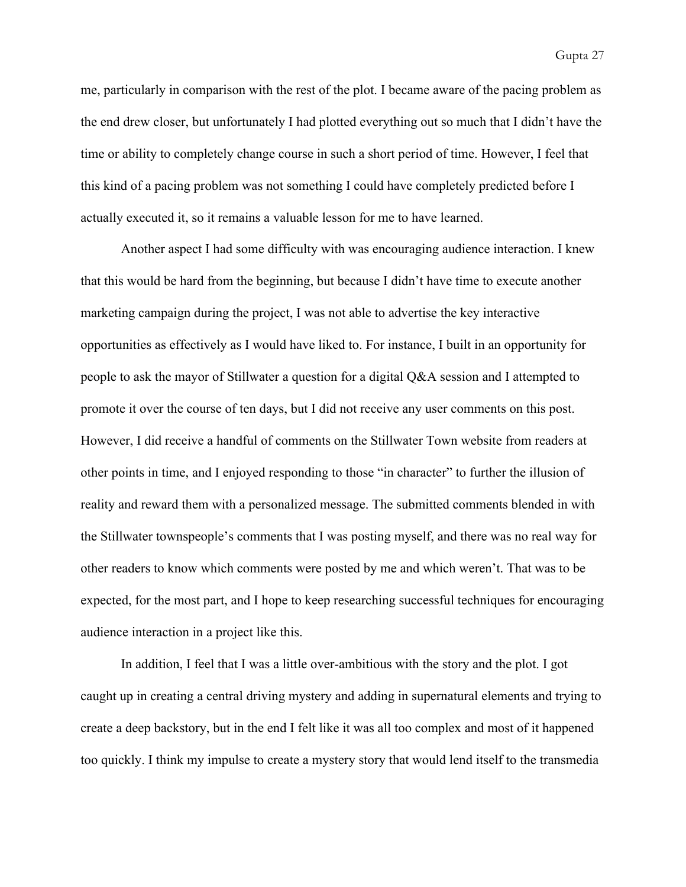me, particularly in comparison with the rest of the plot. I became aware of the pacing problem as the end drew closer, but unfortunately I had plotted everything out so much that I didn't have the time or ability to completely change course in such a short period of time. However, I feel that this kind of a pacing problem was not something I could have completely predicted before I actually executed it, so it remains a valuable lesson for me to have learned.

Another aspect I had some difficulty with was encouraging audience interaction. I knew that this would be hard from the beginning, but because I didn't have time to execute another marketing campaign during the project, I was not able to advertise the key interactive opportunities as effectively as I would have liked to. For instance, I built in an opportunity for people to ask the mayor of Stillwater a question for a digital Q&A session and I attempted to promote it over the course of ten days, but I did not receive any user comments on this post. However, I did receive a handful of comments on the Stillwater Town website from readers at other points in time, and I enjoyed responding to those "in character" to further the illusion of reality and reward them with a personalized message. The submitted comments blended in with the Stillwater townspeople's comments that I was posting myself, and there was no real way for other readers to know which comments were posted by me and which weren't. That was to be expected, for the most part, and I hope to keep researching successful techniques for encouraging audience interaction in a project like this.

In addition, I feel that I was a little over-ambitious with the story and the plot. I got caught up in creating a central driving mystery and adding in supernatural elements and trying to create a deep backstory, but in the end I felt like it was all too complex and most of it happened too quickly. I think my impulse to create a mystery story that would lend itself to the transmedia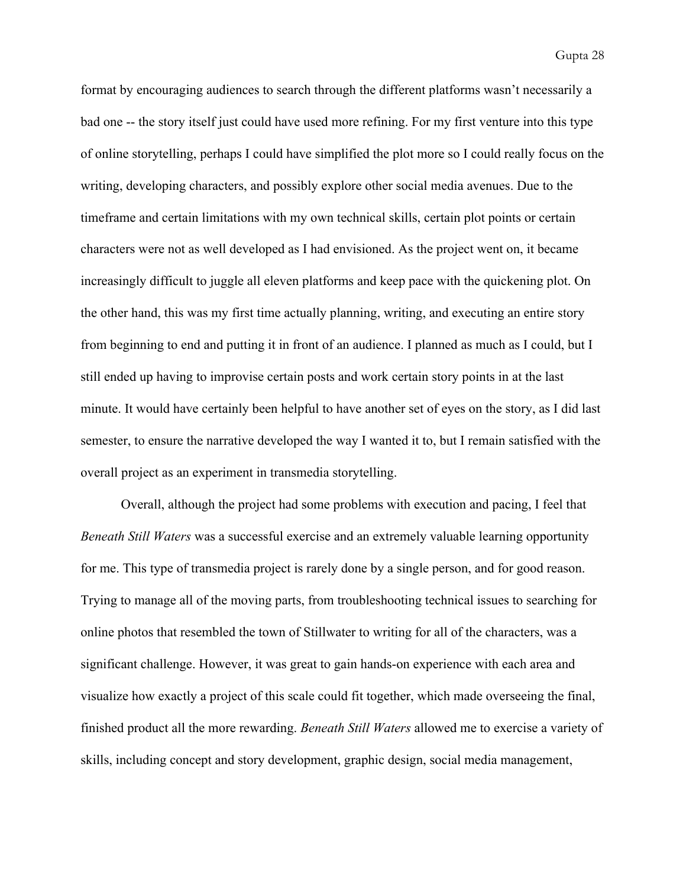format by encouraging audiences to search through the different platforms wasn't necessarily a bad one -- the story itself just could have used more refining. For my first venture into this type of online storytelling, perhaps I could have simplified the plot more so I could really focus on the writing, developing characters, and possibly explore other social media avenues. Due to the timeframe and certain limitations with my own technical skills, certain plot points or certain characters were not as well developed as I had envisioned. As the project went on, it became increasingly difficult to juggle all eleven platforms and keep pace with the quickening plot. On the other hand, this was my first time actually planning, writing, and executing an entire story from beginning to end and putting it in front of an audience. I planned as much as I could, but I still ended up having to improvise certain posts and work certain story points in at the last minute. It would have certainly been helpful to have another set of eyes on the story, as I did last semester, to ensure the narrative developed the way I wanted it to, but I remain satisfied with the overall project as an experiment in transmedia storytelling.

Overall, although the project had some problems with execution and pacing, I feel that *Beneath Still Waters* was a successful exercise and an extremely valuable learning opportunity for me. This type of transmedia project is rarely done by a single person, and for good reason. Trying to manage all of the moving parts, from troubleshooting technical issues to searching for online photos that resembled the town of Stillwater to writing for all of the characters, was a significant challenge. However, it was great to gain hands-on experience with each area and visualize how exactly a project of this scale could fit together, which made overseeing the final, finished product all the more rewarding. *Beneath Still Waters* allowed me to exercise a variety of skills, including concept and story development, graphic design, social media management,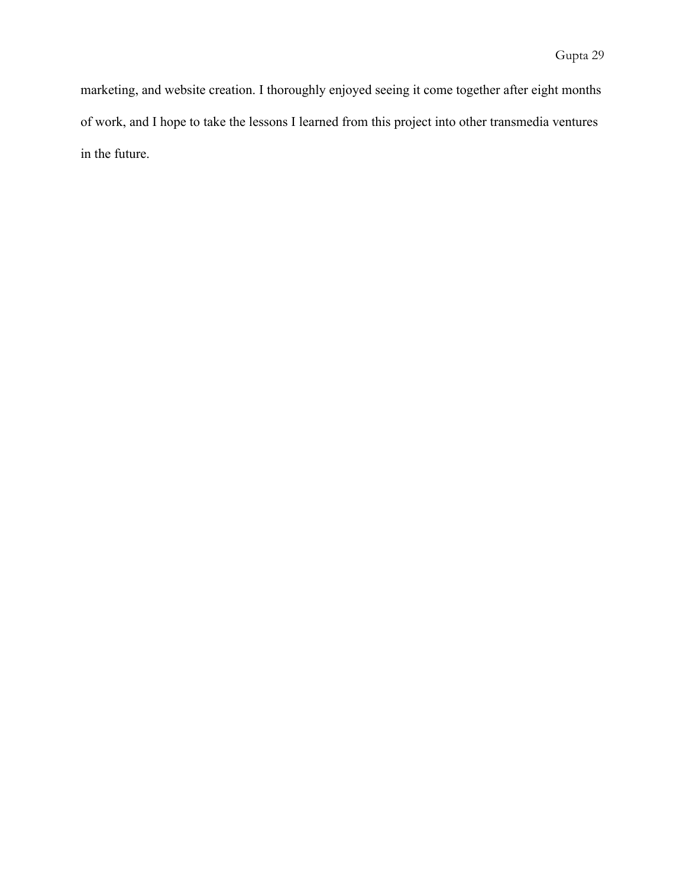marketing, and website creation. I thoroughly enjoyed seeing it come together after eight months of work, and I hope to take the lessons I learned from this project into other transmedia ventures in the future.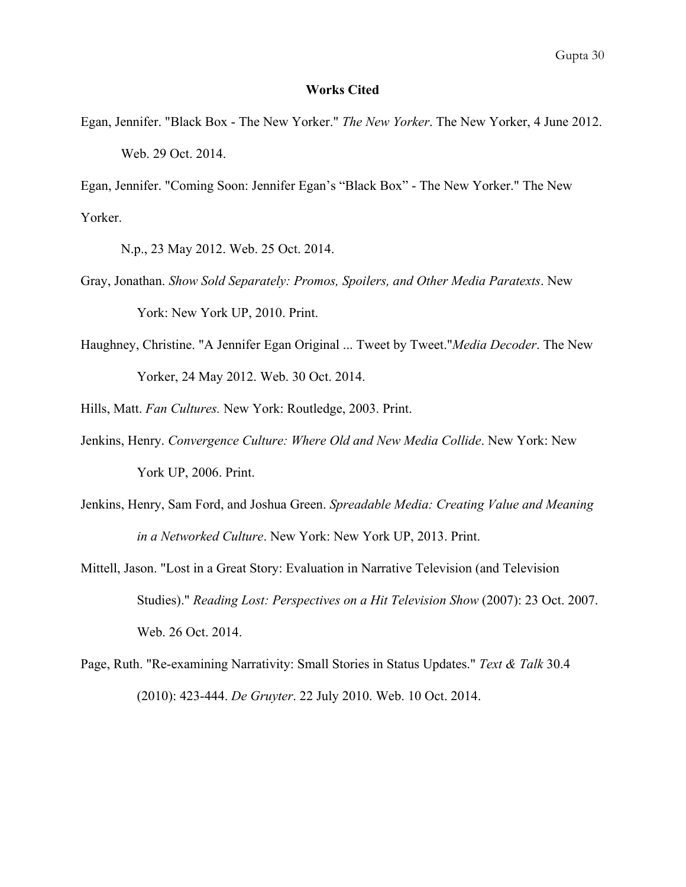## **Works Cited**

Egan, Jennifer. "Black Box The New Yorker." *The New Yorker*. The New Yorker, 4 June 2012. Web. 29 Oct. 2014.

Egan, Jennifer. "Coming Soon: Jennifer Egan's "Black Box" The New Yorker." The New Yorker.

N.p., 23 May 2012. Web. 25 Oct. 2014.

- Gray, Jonathan. *Show Sold Separately: Promos, Spoilers, and Other Media Paratexts*. New York: New York UP, 2010. Print.
- Haughney, Christine. "A Jennifer Egan Original ... Tweet by Tweet."*Media Decoder*. The New Yorker, 24 May 2012. Web. 30 Oct. 2014.
- Hills, Matt. *Fan Cultures.* New York: Routledge, 2003. Print.
- Jenkins, Henry. *Convergence Culture: Where Old and New Media Collide*. New York: New York UP, 2006. Print.
- Jenkins, Henry, Sam Ford, and Joshua Green. *Spreadable Media: Creating Value and Meaning in a Networked Culture*. New York: New York UP, 2013. Print.
- Mittell, Jason. "Lost in a Great Story: Evaluation in Narrative Television (and Television Studies)." *Reading Lost: Perspectives on a Hit Television Show* (2007): 23 Oct. 2007. Web. 26 Oct. 2014.
- Page, Ruth. "Re-examining Narrativity: Small Stories in Status Updates." *Text & Talk* 30.4 (2010): 423444. *De Gruyter*. 22 July 2010. Web. 10 Oct. 2014.